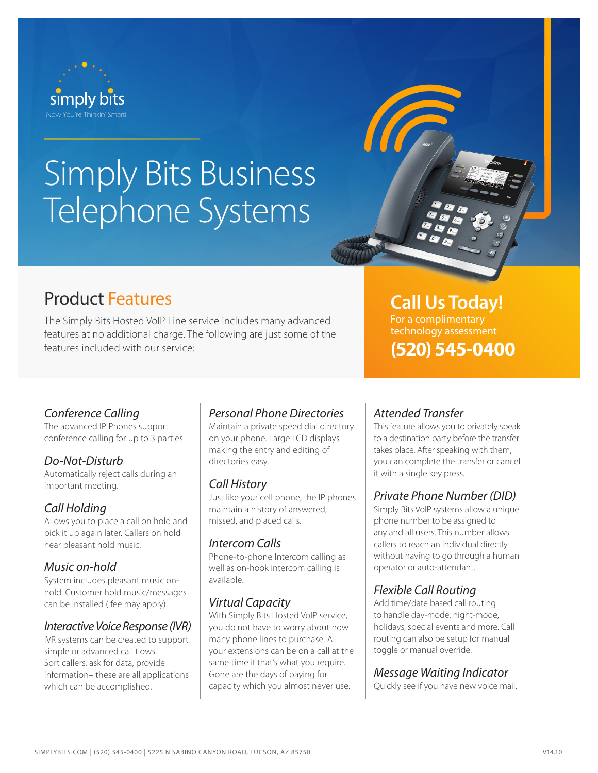

# Simply Bits Business Telephone Systems

# Product Features

The Simply Bits Hosted VoIP Line service includes many advanced features at no additional charge. The following are just some of the features included with our service:

# *Conference Calling*

The advanced IP Phones support conference calling for up to 3 parties.

# *Do-Not-Disturb*

Automatically reject calls during an important meeting.

## *Call Holding*

Allows you to place a call on hold and pick it up again later. Callers on hold hear pleasant hold music.

#### *Music on-hold*

System includes pleasant music onhold. Customer hold music/messages can be installed ( fee may apply).

#### *Interactive Voice Response (IVR)*

IVR systems can be created to support simple or advanced call flows. Sort callers, ask for data, provide information– these are all applications which can be accomplished.

# *Personal Phone Directories*

Maintain a private speed dial directory on your phone. Large LCD displays making the entry and editing of directories easy.

#### *Call History*

Just like your cell phone, the IP phones maintain a history of answered, missed, and placed calls.

#### *Intercom Calls*

Phone-to-phone Intercom calling as well as on-hook intercom calling is available.

#### *Virtual Capacity*

With Simply Bits Hosted VoIP service, you do not have to worry about how many phone lines to purchase. All your extensions can be on a call at the same time if that's what you require. Gone are the days of paying for capacity which you almost never use.

# **Call Us Today!**

**(520) 545-0400** For a complimentary technology assessment

# *Attended Transfer*

This feature allows you to privately speak to a destination party before the transfer takes place. After speaking with them, you can complete the transfer or cancel it with a single key press.

## *Private Phone Number (DID)*

Simply Bits VoIP systems allow a unique phone number to be assigned to any and all users. This number allows callers to reach an individual directly – without having to go through a human operator or auto-attendant.

# *Flexible Call Routing*

Add time/date based call routing to handle day-mode, night-mode, holidays, special events and more. Call routing can also be setup for manual toggle or manual override.

#### *Message Waiting Indicator*

Quickly see if you have new voice mail.